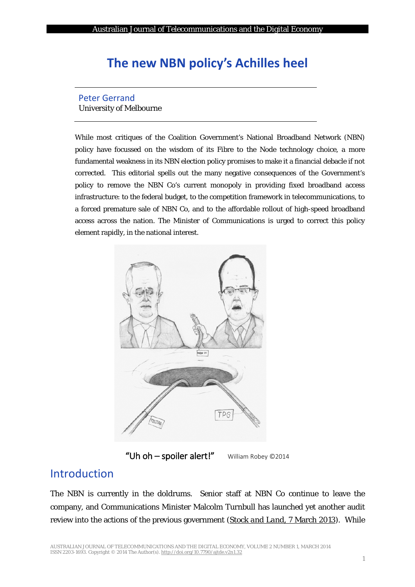# **The new NBN policy's Achilles heel**

#### Peter Gerrand University of Melbourne

While most critiques of the Coalition Government's National Broadband Network (NBN) policy have focussed on the wisdom of its Fibre to the Node technology choice, a more fundamental weakness in its NBN election policy promises to make it a financial debacle if not corrected. This editorial spells out the many negative consequences of the Government's policy to remove the NBN Co's current monopoly in providing fixed broadband access infrastructure: to the federal budget, to the competition framework in telecommunications, to a forced premature sale of NBN Co, and to the affordable rollout of high-speed broadband access across the nation. The Minister of Communications is urged to correct this policy element rapidly, in the national interest.



"Uh oh - spoiler alert!" William Robey ©2014

### Introduction

The NBN is currently in the doldrums. Senior staff at NBN Co continue to leave the company, and Communications Minister Malcolm Turnbull has launched yet another audit review into the actions of the previous government (*[Stock and Land](#page-6-0)*, 7 March 2013). While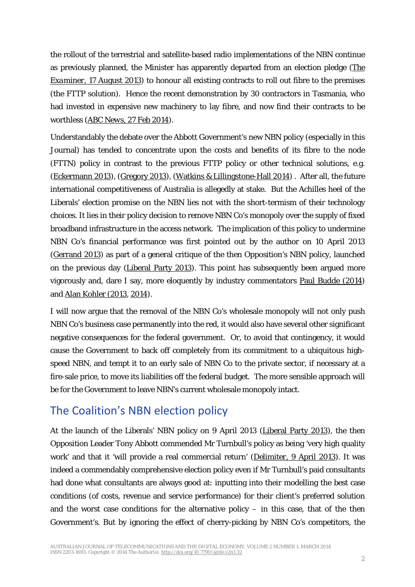the rollout of the terrestrial and satellite-based radio implementations of the NBN continue as previously planned, the Minister has apparently departed from an election pledge (*[The](#page-6-1)  Examiner*[, 17 August](#page-6-1) 2013) to honour all existing contracts to roll out fibre to the premises (the FTTP solution). Hence the recent demonstration by 30 contractors in Tasmania, who had invested in expensive new machinery to lay fibre, and now find their contracts to be worthless (*ABC News*[, 27 Feb 2014\)](#page-5-0).

Understandably the debate over the Abbott Government's new NBN policy (especially in this Journal) has tended to concentrate upon the costs and benefits of its fibre to the node (FTTN) policy in contrast to the previous FTTP policy or other technical solutions, e.g. [\(Eckermann 2013\)](#page-6-2), [\(Gregory 2013\)](#page-6-3), [\(Watkins & Lillingstone-Hall 2014\)](#page-7-0) . After all, the future international competitiveness of Australia is allegedly at stake. But the Achilles heel of the Liberals' election promise on the NBN lies not with the short-termism of their technology choices. It lies in their policy decision to remove NBN Co's monopoly over the supply of fixed broadband infrastructure in the access network. The implication of this policy to undermine NBN Co's financial performance was first pointed out by the author on 10 April 2013 [\(Gerrand 2013\)](#page-6-4) as part of a general critique of the then Opposition's NBN policy, launched on the previous day [\(Liberal Party 2013\)](#page-6-5). This point has subsequently been argued more vigorously and, dare I say, more eloquently by industry commentators [Paul Budde \(2014\)](#page-6-6) and [Alan Kohler](#page-6-7) (2013, [2014\)](#page-6-8).

I will now argue that the removal of the NBN Co's wholesale monopoly will not only push NBN Co's business case permanently into the red, it would also have several other significant negative consequences for the federal government. Or, to avoid that contingency, it would cause the Government to back off completely from its commitment to a ubiquitous highspeed NBN, and tempt it to an early sale of NBN Co to the private sector, if necessary at a fire-sale price, to move its liabilities off the federal budget. The more sensible approach will be for the Government to leave NBN's current wholesale monopoly intact.

### The Coalition's NBN election policy

At the launch of the Liberals' NBN policy on 9 April 2013 [\(Liberal Party 2013\)](#page-6-5), the then Opposition Leader Tony Abbott commended Mr Turnbull's policy as being 'very high quality work' and that it 'will provide a real commercial return' (*Delimiter*[, 9 April 2013\)](#page-6-9). It was indeed a commendably comprehensive election policy even if Mr Turnbull's paid consultants had done what consultants are always good at: inputting into their modelling the best case conditions (of costs, revenue and service performance) for their client's preferred solution and the worst case conditions for the alternative policy – in this case, that of the then Government's. But by ignoring the effect of cherry-picking by NBN Co's competitors, the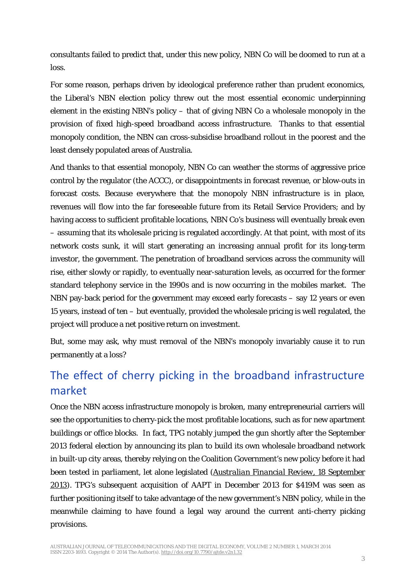consultants failed to predict that, under this new policy, NBN Co will be doomed to run at a loss.

For some reason, perhaps driven by ideological preference rather than prudent economics, the Liberal's NBN election policy threw out the most essential economic underpinning element in the existing NBN's policy – that of giving NBN Co a wholesale monopoly in the provision of fixed high-speed broadband access infrastructure. Thanks to that essential monopoly condition, the NBN can cross-subsidise broadband rollout in the poorest and the least densely populated areas of Australia.

And thanks to that essential monopoly, NBN Co can weather the storms of aggressive price control by the regulator (the ACCC), or disappointments in forecast revenue, or blow-outs in forecast costs. Because everywhere that the monopoly NBN infrastructure is in place, revenues will flow into the far foreseeable future from its Retail Service Providers; and by having access to sufficient profitable locations, NBN Co's business will eventually break even – assuming that its wholesale pricing is regulated accordingly. At that point, with most of its network costs sunk, it will start generating an increasing annual profit for its long-term investor, the government. The penetration of broadband services across the community will rise, either slowly or rapidly, to eventually near-saturation levels, as occurred for the former standard telephony service in the 1990s and is now occurring in the mobiles market. The NBN pay-back period for the government may exceed early forecasts – say 12 years or even 15 years, instead of ten – but eventually, provided the wholesale pricing is well regulated, the project will produce a net positive return on investment.

But, some may ask, why must removal of the NBN's monopoly invariably cause it to run permanently at a loss?

# The effect of cherry picking in the broadband infrastructure market

Once the NBN access infrastructure monopoly is broken, many entrepreneurial carriers will see the opportunities to cherry-pick the most profitable locations, such as for new apartment buildings or office blocks. In fact, TPG notably jumped the gun shortly after the September 2013 federal election by announcing its plan to build its own wholesale broadband network in built-up city areas, thereby relying on the Coalition Government's new policy before it had been tested in parliament, let alone legislated (*[Australian Financial Review](#page-6-10)*, 18 September [2013\)](#page-6-10). TPG's subsequent acquisition of AAPT in December 2013 for \$419M was seen as further positioning itself to take advantage of the new government's NBN policy, while in the meanwhile claiming to have found a legal way around the current anti-cherry picking provisions.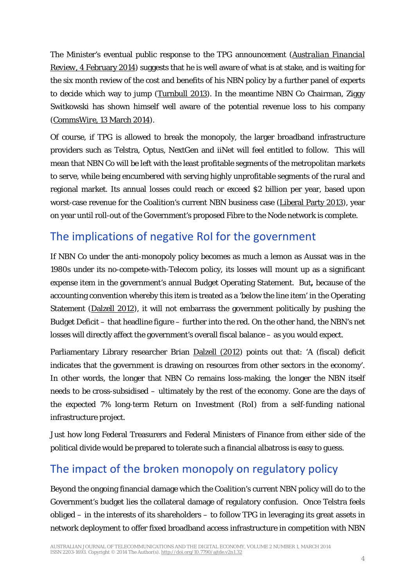The Minister's eventual public response to the TPG announcement (*[Australian Financial](#page-6-11)  Review,* [4 February 2014](#page-6-11)*)* suggests that he is well aware of what is at stake, and is waiting for the six month review of the cost and benefits of his NBN policy by a further panel of experts to decide which way to jump [\(Turnbull 2013\)](#page-6-12). In the meantime NBN Co Chairman, Ziggy Switkowski has shown himself well aware of the potential revenue loss to his company (*[CommsWire](#page-6-13)*, 13 March 2014).

Of course, if TPG is allowed to break the monopoly, the larger broadband infrastructure providers such as Telstra, Optus, NextGen and iiNet will feel entitled to follow. This will mean that NBN Co will be left with the least profitable segments of the metropolitan markets to serve, while being encumbered with serving highly unprofitable segments of the rural and regional market. Its annual losses could reach or exceed \$2 billion per year, based upon worst-case revenue for the Coalition's current NBN business case [\(Liberal Party 2013\)](#page-6-5), year on year until roll-out of the Government's proposed Fibre to the Node network is complete.

# The implications of negative RoI for the government

If NBN Co under the anti-monopoly policy becomes as much a lemon as Aussat was in the 1980s under its no-compete-with-Telecom policy, its losses will mount up as a significant expense item in the government's annual Budget Operating Statement. But**,** because of the accounting convention whereby this item is treated as a 'below the line item' in the Operating Statement [\(Dalzell 2012\)](#page-6-14), it will not embarrass the government politically by pushing the Budget Deficit – that headline figure – further into the red. On the other hand, the NBN's net losses will directly affect the government's overall fiscal balance – as you would expect.

Parliamentary Library researcher Brian [Dalzell](#page-6-14) (2012) points out that: 'A (fiscal) deficit indicates that the government is drawing on resources from other sectors in the economy'. In other words, the longer that NBN Co remains loss-making, the longer the NBN *itself* needs to be cross-subsidised – ultimately by the rest of the economy. Gone are the days of the expected 7% long-term Return on Investment (RoI) from a self-funding national infrastructure project.

Just how long Federal Treasurers and Federal Ministers of Finance from either side of the political divide would be prepared to tolerate such a financial albatross is easy to guess.

# The impact of the broken monopoly on regulatory policy

Beyond the ongoing financial damage which the Coalition's current NBN policy will do to the Government's budget lies the collateral damage of regulatory confusion. Once Telstra feels obliged – in the interests of its shareholders – to follow TPG in leveraging its great assets in network deployment to offer fixed broadband access infrastructure in competition with NBN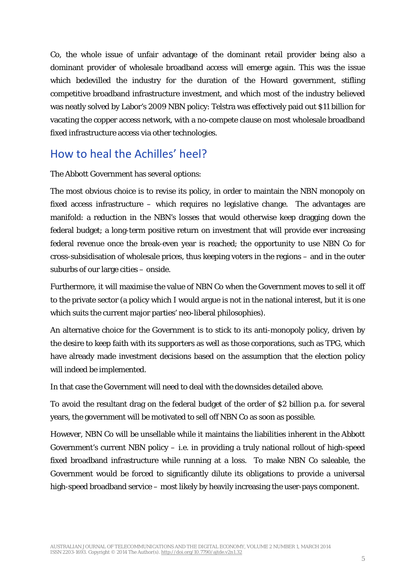Co, the whole issue of unfair advantage of the dominant retail provider being also a dominant provider of wholesale broadband access will emerge again. This was the issue which bedevilled the industry for the duration of the Howard government, stifling competitive broadband infrastructure investment, and which most of the industry believed was neatly solved by Labor's 2009 NBN policy: Telstra was effectively paid out \$11 billion for vacating the copper access network, with a no-compete clause on most wholesale broadband fixed infrastructure access via other technologies.

# How to heal the Achilles' heel?

#### The Abbott Government has several options:

The most obvious choice is to revise its policy, in order to maintain the NBN monopoly on fixed access infrastructure – which requires no legislative change. The advantages are manifold: a reduction in the NBN's losses that would otherwise keep dragging down the federal budget; a long-term positive return on investment that will provide ever increasing federal revenue once the break-even year is reached; the opportunity to use NBN Co for cross-subsidisation of wholesale prices, thus keeping voters in the regions – and in the outer suburbs of our large cities – onside.

Furthermore, it will maximise the value of NBN Co when the Government moves to sell it off to the private sector (a policy which I would argue is not in the national interest, but it is one which suits the current major parties' neo-liberal philosophies).

An alternative choice for the Government is to stick to its anti-monopoly policy, driven by the desire to keep faith with its supporters as well as those corporations, such as TPG, which have already made investment decisions based on the assumption that the election policy will indeed be implemented.

In that case the Government will need to deal with the downsides detailed above.

To avoid the resultant drag on the federal budget of the order of \$2 billion p.a. for several years, the government will be motivated to sell off NBN Co as soon as possible.

However, NBN Co will be unsellable while it maintains the liabilities inherent in the Abbott Government's current NBN policy – i.e. in providing a truly national rollout of high-speed fixed broadband infrastructure while running at a loss. To make NBN Co saleable, the Government would be forced to significantly dilute its obligations to provide a universal high-speed broadband service – most likely by heavily increasing the user-pays component.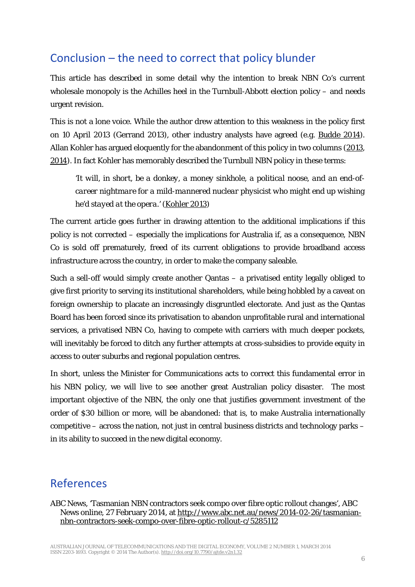# Conclusion – the need to correct that policy blunder

This article has described in some detail why the intention to break NBN Co's current wholesale monopoly is the Achilles heel in the Turnbull-Abbott election policy – and needs urgent revision.

This is not a lone voice. While the author drew attention to this weakness in the policy first on 10 April 2013 (Gerrand 2013), other industry analysts have agreed (e.g. [Budde 2014\)](#page-6-6). Allan Kohler has argued eloquently for the abandonment of this policy in two columns [\(2013,](#page-6-7) [2014\)](#page-6-8). In fact Kohler has memorably described the Turnbull NBN policy in these terms:

*'It will, in short, be a donkey, a money sinkhole, a political noose, and an end-ofcareer nightmare for a mild-mannered nuclear physicist who might end up wishing he'd stayed at the opera.'* [\(Kohler 2013\)](#page-6-7)

The current article goes further in drawing attention to the additional implications if this policy is not corrected – especially the implications for Australia if, as a consequence, NBN Co is sold off prematurely, freed of its current obligations to provide broadband access infrastructure across the country, in order to make the company saleable.

Such a sell-off would simply create another Qantas – a privatised entity legally obliged to give first priority to serving its institutional shareholders, while being hobbled by a caveat on foreign ownership to placate an increasingly disgruntled electorate. And just as the Qantas Board has been forced since its privatisation to abandon unprofitable rural and international services, a privatised NBN Co, having to compete with carriers with much deeper pockets, will inevitably be forced to ditch any further attempts at cross-subsidies to provide equity in access to outer suburbs and regional population centres.

In short, unless the Minister for Communications acts to correct this fundamental error in his NBN policy, we will live to see another great Australian policy disaster. The most important objective of the NBN, the only one that justifies government investment of the order of \$30 billion or more, will be abandoned: that is, to make Australia internationally competitive – across the nation, not just in central business districts and technology parks – in its ability to succeed in the new digital economy.

#### References

<span id="page-5-0"></span>ABC News, 'Tasmanian NBN contractors seek compo over fibre optic rollout changes', ABC News online, 27 February 2014, at [http://www.abc.net.au/news/2014-02-26/tasmanian](http://www.abc.net.au/news/2014-02-26/tasmanian-nbn-contractors-seek-compo-over-fibre-optic-rollout-c/5285112)[nbn-contractors-seek-compo-over-fibre-optic-rollout-c/5285112](http://www.abc.net.au/news/2014-02-26/tasmanian-nbn-contractors-seek-compo-over-fibre-optic-rollout-c/5285112)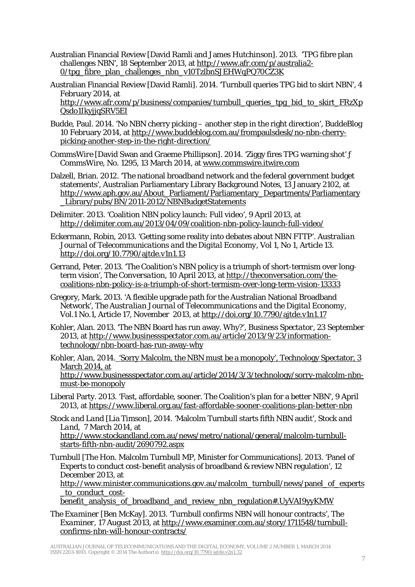- <span id="page-6-10"></span>Australian Financial Review [David Ramli and James Hutchinson]. 2013. 'TPG fibre plan challenges NBN', 18 September 2013, at [http://www.afr.com/p/australia2-](http://www.afr.com/p/australia2-0/tpg_fibre_plan_challenges_nbn_v10TzlbnSJEHWqPQ70CZ3K)  $0$ /tpg fibre plan challenges nbn v10TzlbnSJEHWqPQ70CZ3K
- <span id="page-6-11"></span>Australian Financial Review [David Ramli]. 2014. 'Turnbull queries TPG bid to skirt NBN', 4 February 2014, at [http://www.afr.com/p/business/companies/turnbull\\_queries\\_tpg\\_bid\\_to\\_skirt\\_FRzXp](http://www.afr.com/p/business/companies/turnbull_queries_tpg_bid_to_skirt_FRzXpQsdo1IkyjjqSRV5EI) [Qsdo1IkyjjqSRV5EI](http://www.afr.com/p/business/companies/turnbull_queries_tpg_bid_to_skirt_FRzXpQsdo1IkyjjqSRV5EI)
- <span id="page-6-6"></span>Budde, Paul. 2014. 'No NBN cherry picking – another step in the right direction', BuddeBlog 10 February 2014, at [http://www.buddeblog.com.au/frompaulsdesk/no-nbn-cherry](http://www.buddeblog.com.au/frompaulsdesk/no-nbn-cherry-picking-another-step-in-the-right-direction/)[picking-another-step-in-the-right-direction/](http://www.buddeblog.com.au/frompaulsdesk/no-nbn-cherry-picking-another-step-in-the-right-direction/)
- <span id="page-6-13"></span>*CommsWire* [David Swan and Graeme Phillipson]. 2014. 'Ziggy fires TPG warning shot' ƒ *CommsWire*, No. 1295, 13 March 2014, at www.commswire.itwire.com
- <span id="page-6-14"></span>Dalzell, Brian. 2012. 'The national broadband network and the federal government budget statements', Australian Parliamentary Library Background Notes, 13 January 2102, at [http://www.aph.gov.au/About\\_Parliament/Parliamentary\\_Departments/Parliamentary](http://www.aph.gov.au/About_Parliament/Parliamentary_Departments/Parliamentary_Library/pubs/BN/2011-2012/NBNBudgetStatements) [\\_Library/pubs/BN/2011-2012/NBNBudgetStatements](http://www.aph.gov.au/About_Parliament/Parliamentary_Departments/Parliamentary_Library/pubs/BN/2011-2012/NBNBudgetStatements)
- <span id="page-6-9"></span>Delimiter. 2013. 'Coalition NBN policy launch: Full video', 9 April 2013, at <http://delimiter.com.au/2013/04/09/coalition-nbn-policy-launch-full-video/>
- <span id="page-6-2"></span>Eckermann, Robin, 2013. 'Getting some reality into debates about NBN FTTP'. *Australian Journal of Telecommunications and the Digital Economy*, Vol 1, No 1, Article 13. <http://doi.org/10.7790/ajtde.v1n1.13>
- <span id="page-6-4"></span>Gerrand, Peter. 2013. 'The Coalition's NBN policy is a triumph of short-termism over longterm vision', *The Conversation*, 10 April 2013, a[t http://theconversation.com/the](http://theconversation.com/the-coalitions-nbn-policy-is-a-triumph-of-short-termism-over-long-term-vision-13333)[coalitions-nbn-policy-is-a-triumph-of-short-termism-over-long-term-vision-13333](http://theconversation.com/the-coalitions-nbn-policy-is-a-triumph-of-short-termism-over-long-term-vision-13333)
- <span id="page-6-3"></span>Gregory, Mark. 2013. 'A flexible upgrade path for the Australian National Broadband Network', *The Australian Journal of Telecommunications and the Digital Economy*, Vol.1 No.1, Article 17, November 2013, at<http://doi.org/10.7790/ajtde.v1n1.17>
- <span id="page-6-7"></span>Kohler, Alan. 2013. 'The NBN Board has run away. Why?', *Business Spectator*, 23 September 2013, at [http://www.businessspectator.com.au/article/2013/9/23/information](http://www.businessspectator.com.au/article/2013/9/23/information-technology/nbn-board-has-run-away-why)[technology/nbn-board-has-run-away-why](http://www.businessspectator.com.au/article/2013/9/23/information-technology/nbn-board-has-run-away-why)
- <span id="page-6-8"></span>Kohler, Alan, 2014. 'Sorry Malcolm, the NBN must be a monopoly', Technology Spectator, 3 March 2014, at

http://www.businessspectator.com.au/article/2014/3/3/technology/sorry-malcolm-nbnmust-be-monopoly

- <span id="page-6-5"></span>Liberal Party. 2013. 'Fast, affordable, sooner. The Coalition's plan for a better NBN', 9 April 2013, at<https://www.liberal.org.au/fast-affordable-sooner-coalitions-plan-better-nbn>
- <span id="page-6-0"></span>*Stock and Land* [Lia Timson], 2014. 'Malcolm Turnbull starts fifth NBN audit', *Stock and Land*, 7 March 2014, at

[http://www.stockandland.com.au/news/metro/national/general/malcolm-turnbull](http://www.stockandland.com.au/news/metro/national/general/malcolm-turnbull-starts-fifth-nbn-audit/2690792.aspx)[starts-fifth-nbn-audit/2690792.aspx](http://www.stockandland.com.au/news/metro/national/general/malcolm-turnbull-starts-fifth-nbn-audit/2690792.aspx)

<span id="page-6-12"></span>Turnbull [The Hon. Malcolm Turnbull MP, Minister for Communications]. 2013. 'Panel of Experts to conduct cost-benefit analysis of broadband & review NBN regulation', 12 December 2013, at

[http://www.minister.communications.gov.au/malcolm\\_turnbull/news/panel\\_of\\_experts](http://www.minister.communications.gov.au/malcolm_turnbull/news/panel_of_experts_to_conduct_cost-benefit_analysis_of_broadband_and_review_nbn_regulation%23.UyVAI9yyKMW) to conduct cost-

[benefit\\_analysis\\_of\\_broadband\\_and\\_review\\_nbn\\_regulation#.UyVAI9yyKMW](http://www.minister.communications.gov.au/malcolm_turnbull/news/panel_of_experts_to_conduct_cost-benefit_analysis_of_broadband_and_review_nbn_regulation%23.UyVAI9yyKMW)

<span id="page-6-1"></span>*The Examiner* [Ben McKay]. 2013. 'Turnbull confirms NBN will honour contracts', *The Examiner*, 17 August 2013, at [http://www.examiner.com.au/story/1711548/turnbull](http://www.examiner.com.au/story/1711548/turnbull-confirms-nbn-will-honour-contracts/)[confirms-nbn-will-honour-contracts/](http://www.examiner.com.au/story/1711548/turnbull-confirms-nbn-will-honour-contracts/)